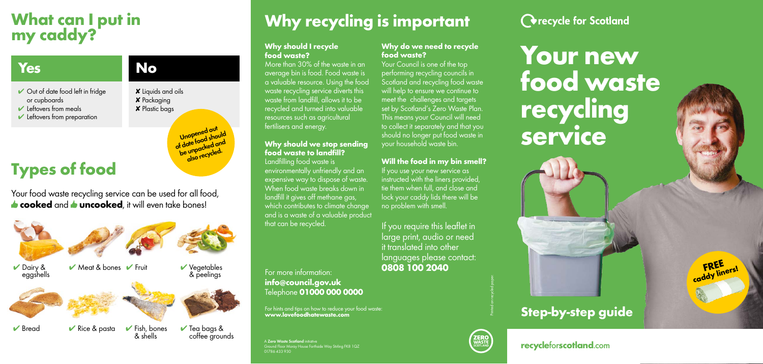**recycle**for**scotland**.com

## **Why recycling is important**

A **Zero Waste Scotland** initiative Ground Floor Moray House Forthside Way Stirling FK8 1QZ 01786 433 930

For more information: **info@council.gov.uk** Telephone **01000 000 0000** 

For hints and tips on how to reduce your food waste: **www.lovefoodhatewaste.com**

#### **Why should I recycle food waste?**

More than 30% of the waste in an average bin is food. Food waste is a valuable resource. Using the food waste recycling service diverts this waste from landfill, allows it to be recycled and turned into valuable resources such as agricultural fertilisers and energy.

Your Council is one of the top performing recycling councils in Scotland and recycling food waste will help to ensure we continue to meet the challenges and targets set by Scotland's Zero Waste Plan. This means your Council will need to collect it separately and that you should no longer put food waste in your household waste bin.

#### **Why should we stop sending food waste to landfill?**

Landfilling food waste is environmentally unfriendly and an expensive way to dispose of waste. When food waste breaks down in landfill it gives off methane gas, which contributes to climate change and is a waste of a valuable product that can be recycled.

Your food waste recycling service can be used for all food, **cooked** and **uncooked**, it will even take bones!

◆ Out of date food left in fridge or cupboards

- $\vee$  Leftovers from meals
- $\blacktriangleright$  Leftovers from preparation

#### **Why do we need to recycle food waste?**

**Unopened out of date food should**  *be unpacked and*<br>be unpacked and unpachweled.



#### **Will the food in my bin smell?**

If you use your new service as instructed with the liners provided, tie them when full, and close and lock your caddy lids there will be no problem with smell.

If you require this leaflet in large print, audio or need it translated into other languages please contact: **0808 100 2040**



## **What can I put in my caddy?**

## **Types of food**

### **Yes**

#### **No**

X Liquids and oils **X** Packaging X Plastic bags

Printed on recycled paper.





**O**recycle for Scotland

# **Your new food waste recycling service**



**FREE caddy liners!**